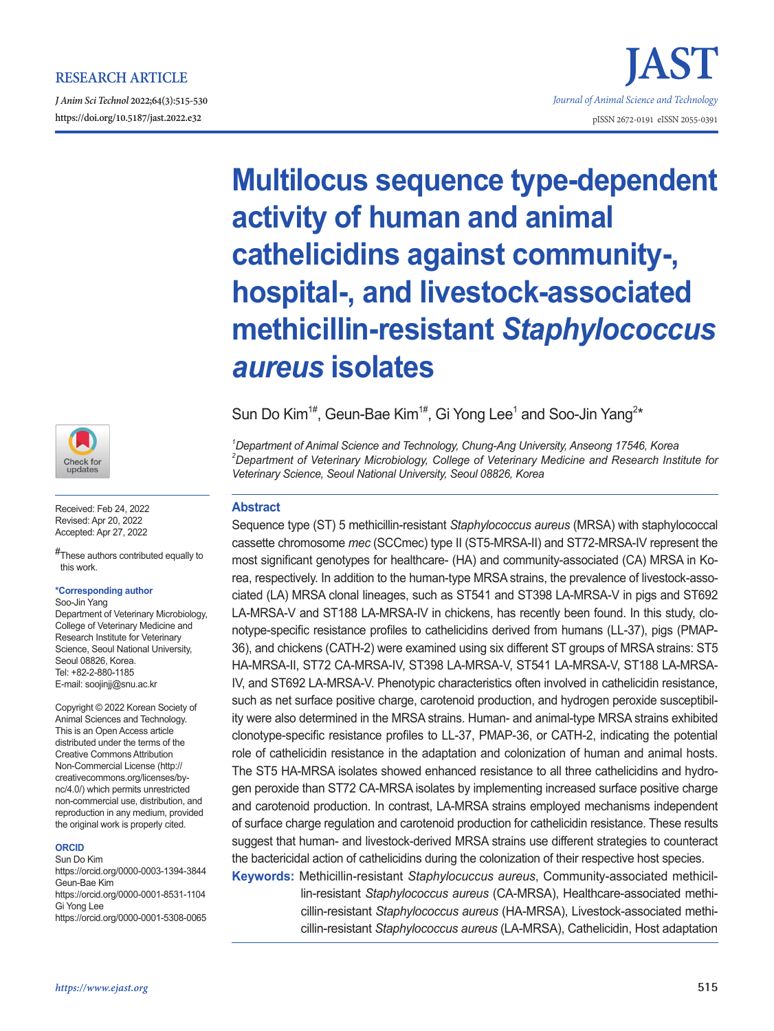## **RESEARCH ARTICLE**

*J Anim Sci Technol* **2022;64(3):515-530 https://doi.org/10.5187/jast.2022.e32** pISSN 2672-0191 eISSN 2055-0391



Received: Feb 24, 2022 Revised: Apr 20, 2022 Accepted: Apr 27, 2022

#These authors contributed equally to this work.

#### **\*Corresponding author**

Soo-Jin Yang Department of Veterinary Microbiology, College of Veterinary Medicine and Research Institute for Veterinary Science, Seoul National University, Seoul 08826, Korea. Tel: +82-2-880-1185 E-mail: soojinjj@snu.ac.kr

Copyright © 2022 Korean Society of Animal Sciences and Technology. This is an Open Access article distributed under the terms of the Creative Commons Attribution Non-Commercial License (http:// creativecommons.org/licenses/bync/4.0/) which permits unrestricted non-commercial use, distribution, and reproduction in any medium, provided the original work is properly cited.

#### **ORCID**

Sun Do Kim https://orcid.org/0000-0003-1394-3844 Geun-Bae Kim https://orcid.org/0000-0001-8531-1104 Gi Yong Lee https://orcid.org/0000-0001-5308-0065

# **Multilocus sequence type-dependent activity of human and animal cathelicidins against community-, hospital-, and livestock-associated methicillin-resistant** *Staphylococcus aureus* **isolates**

*Journal of Animal Science and Technology*

Sun Do Kim<sup>1#</sup>, Geun-Bae Kim<sup>1#</sup>, Gi Yong Lee<sup>1</sup> and Soo-Jin Yang<sup>2\*</sup>

*1 Department of Animal Science and Technology, Chung-Ang University, Anseong 17546, Korea 2 Department of Veterinary Microbiology, College of Veterinary Medicine and Research Institute for Veterinary Science, Seoul National University, Seoul 08826, Korea*

### **Abstract**

Sequence type (ST) 5 methicillin-resistant *Staphylococcus aureus* (MRSA) with staphylococcal cassette chromosome *mec* (SCCmec) type II (ST5-MRSA-II) and ST72-MRSA-IV represent the most significant genotypes for healthcare- (HA) and community-associated (CA) MRSA in Korea, respectively. In addition to the human-type MRSA strains, the prevalence of livestock-associated (LA) MRSA clonal lineages, such as ST541 and ST398 LA-MRSA-V in pigs and ST692 LA-MRSA-V and ST188 LA-MRSA-IV in chickens, has recently been found. In this study, clonotype-specific resistance profiles to cathelicidins derived from humans (LL-37), pigs (PMAP-36), and chickens (CATH-2) were examined using six different ST groups of MRSA strains: ST5 HA-MRSA-II, ST72 CA-MRSA-IV, ST398 LA-MRSA-V, ST541 LA-MRSA-V, ST188 LA-MRSA-IV, and ST692 LA-MRSA-V. Phenotypic characteristics often involved in cathelicidin resistance, such as net surface positive charge, carotenoid production, and hydrogen peroxide susceptibility were also determined in the MRSA strains. Human- and animal-type MRSA strains exhibited clonotype-specific resistance profiles to LL-37, PMAP-36, or CATH-2, indicating the potential role of cathelicidin resistance in the adaptation and colonization of human and animal hosts. The ST5 HA-MRSA isolates showed enhanced resistance to all three cathelicidins and hydrogen peroxide than ST72 CA-MRSA isolates by implementing increased surface positive charge and carotenoid production. In contrast, LA-MRSA strains employed mechanisms independent of surface charge regulation and carotenoid production for cathelicidin resistance. These results suggest that human- and livestock-derived MRSA strains use different strategies to counteract the bactericidal action of cathelicidins during the colonization of their respective host species.

**Keywords:** Methicillin-resistant *Staphylocuccus aureus*, Community-associated methicillin-resistant *Staphylococcus aureus* (CA-MRSA), Healthcare-associated methicillin-resistant *Staphylococcus aureus* (HA-MRSA), Livestock-associated methicillin-resistant *Staphylococcus aureus* (LA-MRSA), Cathelicidin, Host adaptation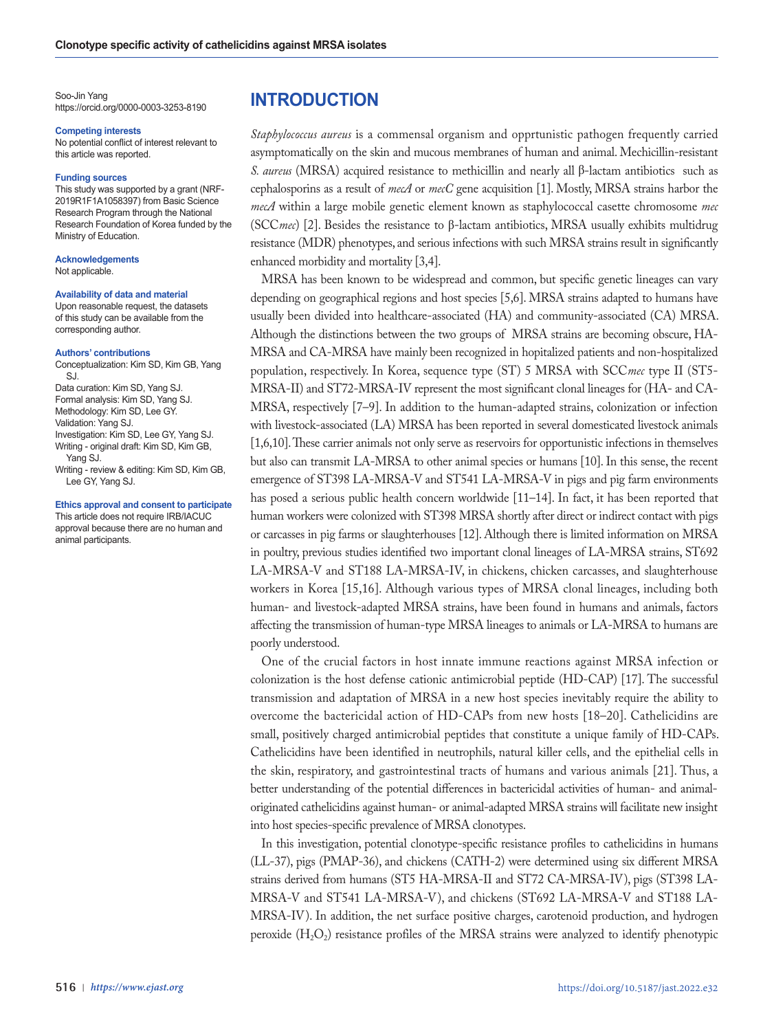Soo-Jin Yang https://orcid.org/0000-0003-3253-8190

#### **Competing interests**

No potential conflict of interest relevant to this article was reported.

#### **Funding sources**

This study was supported by a grant (NRF-2019R1F1A1058397) from Basic Science Research Program through the National Research Foundation of Korea funded by the Ministry of Education.

**Acknowledgements** Not applicable.

#### **Availability of data and material**

Upon reasonable request, the datasets of this study can be available from the corresponding author.

#### **Authors' contributions**

Conceptualization: Kim SD, Kim GB, Yang SJ. Data curation: Kim SD, Yang SJ. Formal analysis: Kim SD, Yang SJ. Methodology: Kim SD, Lee GY. Validation: Yang SJ. Investigation: Kim SD, Lee GY, Yang SJ. Writing - original draft: Kim SD, Kim GB, Yang SJ. Writing - review & editing: Kim SD, Kim GB, Lee GY, Yang SJ.

## **Ethics approval and consent to participate**

This article does not require IRB/IACUC approval because there are no human and animal participants.

## **INTRODUCTION**

*Staphylococcus aureus* is a commensal organism and opprtunistic pathogen frequently carried asymptomatically on the skin and mucous membranes of human and animal. Mechicillin-resistant *S. aureus* (MRSA) acquired resistance to methicillin and nearly all β-lactam antibiotics such as cephalosporins as a result of *mecA* or *mecC* gene acquisition [1]. Mostly, MRSA strains harbor the *mecA* within a large mobile genetic element known as staphylococcal casette chromosome *mec* (SCC*mec*) [2]. Besides the resistance to β-lactam antibiotics, MRSA usually exhibits multidrug resistance (MDR) phenotypes, and serious infections with such MRSA strains result in significantly enhanced morbidity and mortality [3,4].

MRSA has been known to be widespread and common, but specific genetic lineages can vary depending on geographical regions and host species [5,6]. MRSA strains adapted to humans have usually been divided into healthcare-associated (HA) and community-associated (CA) MRSA. Although the distinctions between the two groups of MRSA strains are becoming obscure, HA-MRSA and CA-MRSA have mainly been recognized in hopitalized patients and non-hospitalized population, respectively. In Korea, sequence type (ST) 5 MRSA with SCC*mec* type II (ST5- MRSA-II) and ST72-MRSA-IV represent the most significant clonal lineages for (HA- and CA-MRSA, respectively [7–9]. In addition to the human-adapted strains, colonization or infection with livestock-associated (LA) MRSA has been reported in several domesticated livestock animals [1,6,10]. These carrier animals not only serve as reservoirs for opportunistic infections in themselves but also can transmit LA-MRSA to other animal species or humans [10]. In this sense, the recent emergence of ST398 LA-MRSA-V and ST541 LA-MRSA-V in pigs and pig farm environments has posed a serious public health concern worldwide [11–14]. In fact, it has been reported that human workers were colonized with ST398 MRSA shortly after direct or indirect contact with pigs or carcasses in pig farms or slaughterhouses [12]. Although there is limited information on MRSA in poultry, previous studies identified two important clonal lineages of LA-MRSA strains, ST692 LA-MRSA-V and ST188 LA-MRSA-IV, in chickens, chicken carcasses, and slaughterhouse workers in Korea [15,16]. Although various types of MRSA clonal lineages, including both human- and livestock-adapted MRSA strains, have been found in humans and animals, factors affecting the transmission of human-type MRSA lineages to animals or LA-MRSA to humans are poorly understood.

One of the crucial factors in host innate immune reactions against MRSA infection or colonization is the host defense cationic antimicrobial peptide (HD-CAP) [17]. The successful transmission and adaptation of MRSA in a new host species inevitably require the ability to overcome the bactericidal action of HD-CAPs from new hosts [18–20]. Cathelicidins are small, positively charged antimicrobial peptides that constitute a unique family of HD-CAPs. Cathelicidins have been identified in neutrophils, natural killer cells, and the epithelial cells in the skin, respiratory, and gastrointestinal tracts of humans and various animals [21]. Thus, a better understanding of the potential differences in bactericidal activities of human- and animaloriginated cathelicidins against human- or animal-adapted MRSA strains will facilitate new insight into host species-specific prevalence of MRSA clonotypes.

In this investigation, potential clonotype-specific resistance profiles to cathelicidins in humans (LL-37), pigs (PMAP-36), and chickens (CATH-2) were determined using six different MRSA strains derived from humans (ST5 HA-MRSA-II and ST72 CA-MRSA-IV), pigs (ST398 LA-MRSA-V and ST541 LA-MRSA-V), and chickens (ST692 LA-MRSA-V and ST188 LA-MRSA-IV). In addition, the net surface positive charges, carotenoid production, and hydrogen peroxide  $(H_2O_2)$  resistance profiles of the MRSA strains were analyzed to identify phenotypic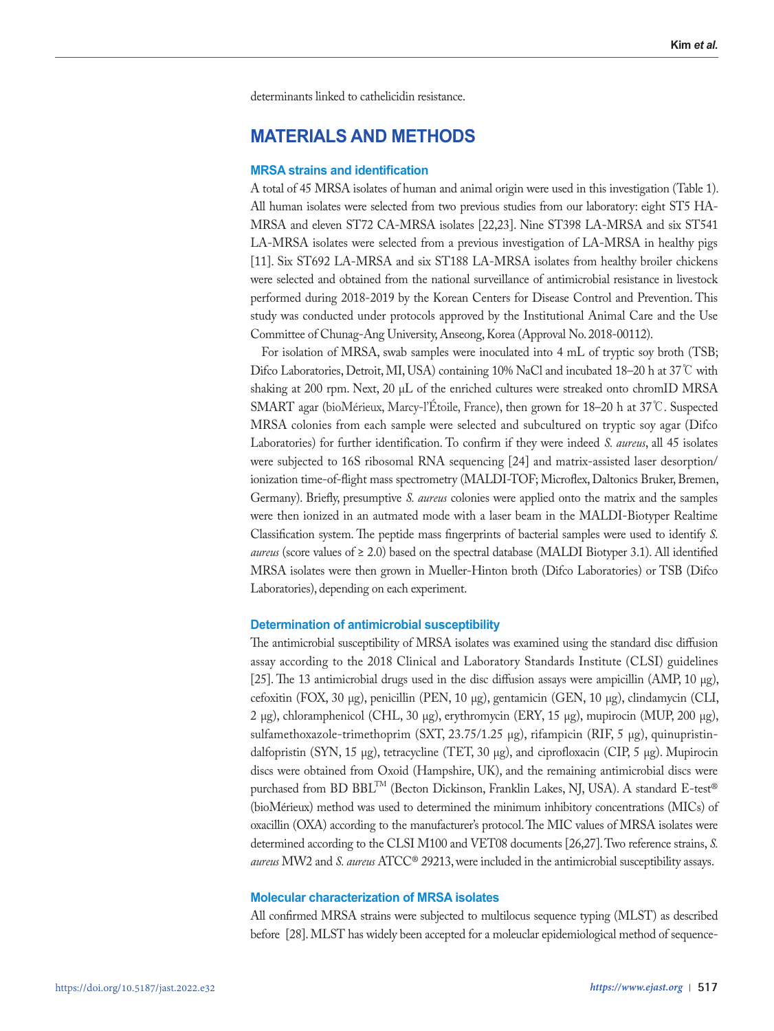determinants linked to cathelicidin resistance.

## **MATERIALS AND METHODS**

#### **MRSA strains and identification**

A total of 45 MRSA isolates of human and animal origin were used in this investigation (Table 1). All human isolates were selected from two previous studies from our laboratory: eight ST5 HA-MRSA and eleven ST72 CA-MRSA isolates [22,23]. Nine ST398 LA-MRSA and six ST541 LA-MRSA isolates were selected from a previous investigation of LA-MRSA in healthy pigs [11]. Six ST692 LA-MRSA and six ST188 LA-MRSA isolates from healthy broiler chickens were selected and obtained from the national surveillance of antimicrobial resistance in livestock performed during 2018-2019 by the Korean Centers for Disease Control and Prevention. This study was conducted under protocols approved by the Institutional Animal Care and the Use Committee of Chunag-Ang University, Anseong, Korea (Approval No. 2018-00112).

For isolation of MRSA, swab samples were inoculated into 4 mL of tryptic soy broth (TSB; Difco Laboratories, Detroit, MI, USA) containing 10% NaCl and incubated 18–20 h at 37℃ with shaking at 200 rpm. Next, 20 μL of the enriched cultures were streaked onto chromID MRSA SMART agar (bioMérieux, Marcy-l'Étoile, France), then grown for 18–20 h at 37℃. Suspected MRSA colonies from each sample were selected and subcultured on tryptic soy agar (Difco Laboratories) for further identification. To confirm if they were indeed *S. aureus*, all 45 isolates were subjected to 16S ribosomal RNA sequencing [24] and matrix-assisted laser desorption/ ionization time-of-flight mass spectrometry (MALDI-TOF; Microflex, Daltonics Bruker, Bremen, Germany). Briefly, presumptive *S. aureus* colonies were applied onto the matrix and the samples were then ionized in an autmated mode with a laser beam in the MALDI-Biotyper Realtime Classification system. The peptide mass fingerprints of bacterial samples were used to identify *S. aureus* (score values of ≥ 2.0) based on the spectral database (MALDI Biotyper 3.1). All identified MRSA isolates were then grown in Mueller-Hinton broth (Difco Laboratories) or TSB (Difco Laboratories), depending on each experiment.

#### **Determination of antimicrobial susceptibility**

The antimicrobial susceptibility of MRSA isolates was examined using the standard disc diffusion assay according to the 2018 Clinical and Laboratory Standards Institute (CLSI) guidelines [25]. The 13 antimicrobial drugs used in the disc diffusion assays were ampicillin (AMP, 10 μg), cefoxitin (FOX, 30 μg), penicillin (PEN, 10 μg), gentamicin (GEN, 10 μg), clindamycin (CLI, 2 μg), chloramphenicol (CHL, 30 μg), erythromycin (ERY, 15 μg), mupirocin (MUP, 200 μg), sulfamethoxazole-trimethoprim (SXT, 23.75/1.25 μg), rifampicin (RIF, 5 μg), quinupristindalfopristin (SYN, 15 μg), tetracycline (TET, 30 μg), and ciprofloxacin (CIP, 5 μg). Mupirocin discs were obtained from Oxoid (Hampshire, UK), and the remaining antimicrobial discs were purchased from BD BBL<sup>TM</sup> (Becton Dickinson, Franklin Lakes, NJ, USA). A standard E-test® (bioMérieux) method was used to determined the minimum inhibitory concentrations (MICs) of oxacillin (OXA) according to the manufacturer's protocol. The MIC values of MRSA isolates were determined according to the CLSI M100 and VET08 documents [26,27]. Two reference strains, *S. aureus* MW2 and *S. aureus* ATCC® 29213, were included in the antimicrobial susceptibility assays.

#### **Molecular characterization of MRSA isolates**

All confirmed MRSA strains were subjected to multilocus sequence typing (MLST) as described before [28]. MLST has widely been accepted for a moleuclar epidemiological method of sequence-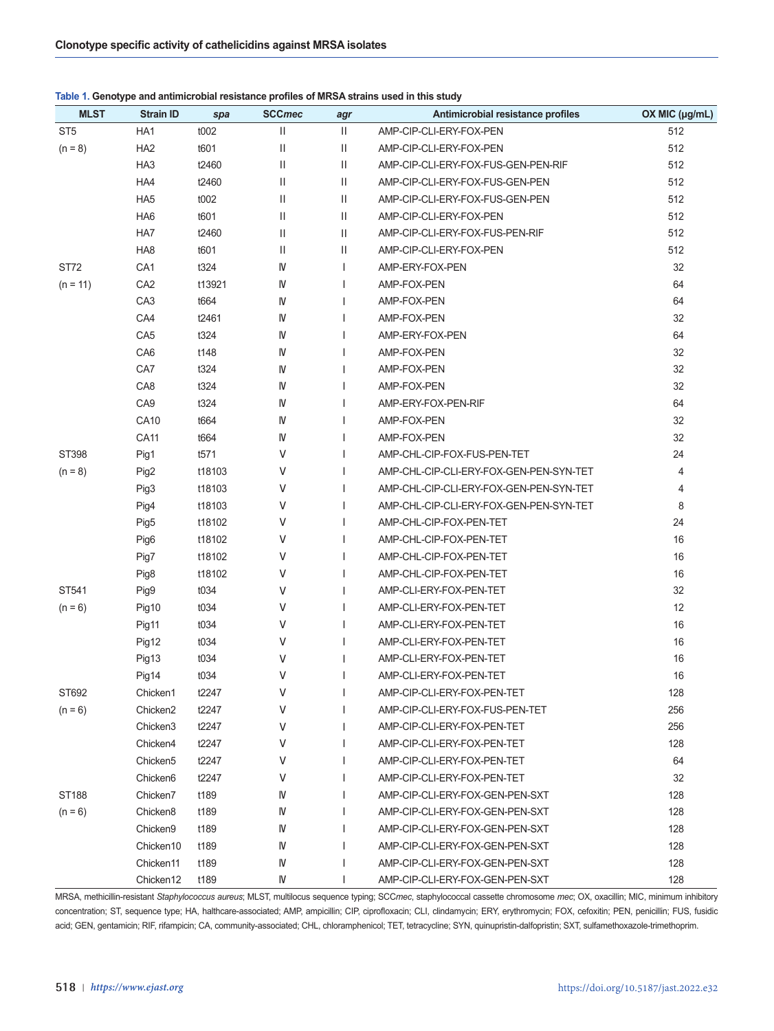|  | Table 1. Genotype and antimicrobial resistance profiles of MRSA strains used in this study |  |  |
|--|--------------------------------------------------------------------------------------------|--|--|
|--|--------------------------------------------------------------------------------------------|--|--|

| <b>MLST</b>     | <b>Strain ID</b>     | spa    | <b>SCCmec</b> | agr          | Antimicrobial resistance profiles       | OX MIC (µg/mL) |
|-----------------|----------------------|--------|---------------|--------------|-----------------------------------------|----------------|
| ST <sub>5</sub> | HA1                  | t002   | Ш             | Ш            | AMP-CIP-CLI-ERY-FOX-PEN                 | 512            |
| $(n = 8)$       | HA <sub>2</sub>      | t601   | Ш             | Ш            | AMP-CIP-CLI-ERY-FOX-PEN                 | 512            |
|                 | HA <sub>3</sub>      | t2460  | Ш             | Ш            | AMP-CIP-CLI-ERY-FOX-FUS-GEN-PEN-RIF     | 512            |
|                 | HA4                  | t2460  | Ш             | Ш            | AMP-CIP-CLI-ERY-FOX-FUS-GEN-PEN         | 512            |
|                 | HA <sub>5</sub>      | t002   | Ш             | Ш            | AMP-CIP-CLI-ERY-FOX-FUS-GEN-PEN         | 512            |
|                 | HA <sub>6</sub>      | t601   | Ш             | $\mathbf{H}$ | AMP-CIP-CLI-ERY-FOX-PEN                 | 512            |
|                 | HA7                  | t2460  | Ш             | $\mathbf{H}$ | AMP-CIP-CLI-ERY-FOX-FUS-PEN-RIF         | 512            |
|                 | HA8                  | t601   | Ш             | Ш            | AMP-CIP-CLI-ERY-FOX-PEN                 | 512            |
| ST72            | CA1                  | t324   | IV            | I.           | AMP-ERY-FOX-PEN                         | 32             |
| $(n = 11)$      | CA <sub>2</sub>      | t13921 | IV            | ı            | AMP-FOX-PEN                             | 64             |
|                 | CA <sub>3</sub>      | t664   | IV            | I.           | AMP-FOX-PEN                             | 64             |
|                 | CA4                  | t2461  | IV            |              | AMP-FOX-PEN                             | 32             |
|                 | CA <sub>5</sub>      | t324   | IV            |              | AMP-ERY-FOX-PEN                         | 64             |
|                 | CA6                  | t148   | IV            |              | AMP-FOX-PEN                             | 32             |
|                 | CA7                  | t324   | IV            |              | AMP-FOX-PEN                             | 32             |
|                 | CA8                  | t324   | IV            |              | AMP-FOX-PEN                             | 32             |
|                 | CA <sub>9</sub>      | t324   | IV            |              | AMP-ERY-FOX-PEN-RIF                     | 64             |
|                 | <b>CA10</b>          | t664   | IV            |              | AMP-FOX-PEN                             | 32             |
|                 | <b>CA11</b>          | t664   | IV            |              | AMP-FOX-PEN                             | 32             |
| ST398           | Pig1                 | t571   | v             |              | AMP-CHL-CIP-FOX-FUS-PEN-TET             | 24             |
| $(n = 8)$       | Pig2                 | t18103 | V             |              | AMP-CHL-CIP-CLI-ERY-FOX-GEN-PEN-SYN-TET | 4              |
|                 | Pig3                 | t18103 | V             |              | AMP-CHL-CIP-CLI-ERY-FOX-GEN-PEN-SYN-TET | 4              |
|                 | Pig4                 | t18103 | V             |              | AMP-CHL-CIP-CLI-ERY-FOX-GEN-PEN-SYN-TET | 8              |
|                 | Pig5                 | t18102 | V             |              | AMP-CHL-CIP-FOX-PEN-TET                 | 24             |
|                 | Pig6                 | t18102 | V             |              | AMP-CHL-CIP-FOX-PEN-TET                 | 16             |
|                 | Pig7                 | t18102 | V             |              | AMP-CHL-CIP-FOX-PEN-TET                 | 16             |
|                 | Pig8                 | t18102 | V             |              | AMP-CHL-CIP-FOX-PEN-TET                 | 16             |
| ST541           | Pig9                 | t034   | V             |              | AMP-CLI-ERY-FOX-PEN-TET                 | 32             |
| $(n = 6)$       | Pig10                | t034   | V             |              | AMP-CLI-ERY-FOX-PEN-TET                 | 12             |
|                 | Pig11                | t034   | V             |              | AMP-CLI-ERY-FOX-PEN-TET                 | 16             |
|                 | Pig12                | t034   | V             |              | AMP-CLI-ERY-FOX-PEN-TET                 | 16             |
|                 | Pig13                | t034   | V             |              | AMP-CLI-ERY-FOX-PEN-TET                 | 16             |
|                 | Pig14                | t034   | V             |              | AMP-CLI-ERY-FOX-PEN-TET                 | 16             |
| ST692           | Chicken1             | t2247  | V             | T            | AMP-CIP-CLI-ERY-FOX-PEN-TET             | 128            |
| $(n = 6)$       | Chicken <sub>2</sub> | t2247  | ٧             |              | AMP-CIP-CLI-ERY-FOX-FUS-PEN-TET         | 256            |
|                 | Chicken3             | t2247  | V             |              | AMP-CIP-CLI-ERY-FOX-PEN-TET             | 256            |
|                 | Chicken4             | t2247  | V             |              | AMP-CIP-CLI-ERY-FOX-PEN-TET             | 128            |
|                 | Chicken <sub>5</sub> | t2247  | V             |              | AMP-CIP-CLI-ERY-FOX-PEN-TET             | 64             |
|                 | Chicken <sub>6</sub> | t2247  | V             |              | AMP-CIP-CLI-ERY-FOX-PEN-TET             | 32             |
| ST188           | Chicken7             | t189   | IV            |              | AMP-CIP-CLI-ERY-FOX-GEN-PEN-SXT         | 128            |
| $(n = 6)$       | Chicken <sub>8</sub> | t189   | IV            |              | AMP-CIP-CLI-ERY-FOX-GEN-PEN-SXT         | 128            |
|                 | Chicken9             | t189   | IV            |              | AMP-CIP-CLI-ERY-FOX-GEN-PEN-SXT         | 128            |
|                 | Chicken10            | t189   | IV            |              | AMP-CIP-CLI-ERY-FOX-GEN-PEN-SXT         | 128            |
|                 | Chicken11            | t189   | IV            |              | AMP-CIP-CLI-ERY-FOX-GEN-PEN-SXT         | 128            |
|                 | Chicken12            | t189   | IV            |              | AMP-CIP-CLI-ERY-FOX-GEN-PEN-SXT         | 128            |

MRSA, methicillin-resistant *Staphylococcus aureus*; MLST, multilocus sequence typing; SCC*mec*, staphylococcal cassette chromosome *mec*; OX, oxacillin; MIC, minimum inhibitory concentration; ST, sequence type; HA, halthcare-associated; AMP, ampicillin; CIP, ciprofloxacin; CLI, clindamycin; ERY, erythromycin; FOX, cefoxitin; PEN, penicillin; FUS, fusidic acid; GEN, gentamicin; RIF, rifampicin; CA, community-associated; CHL, chloramphenicol; TET, tetracycline; SYN, quinupristin-dalfopristin; SXT, sulfamethoxazole-trimethoprim.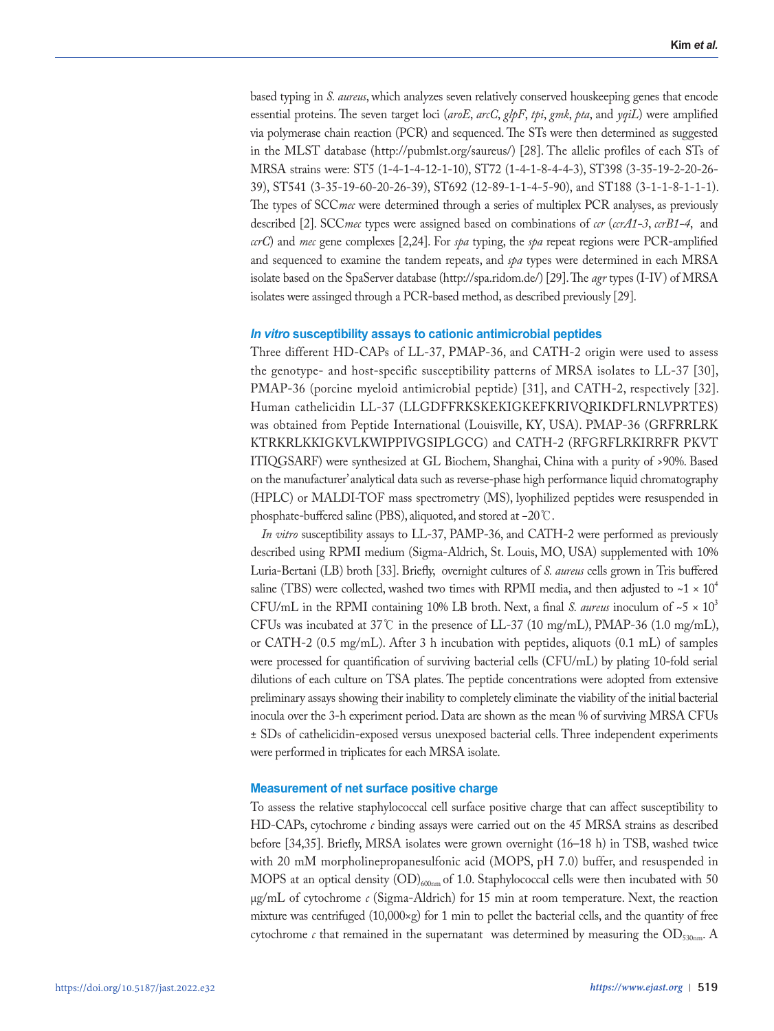based typing in *S. aureus*, which analyzes seven relatively conserved houskeeping genes that encode essential proteins. The seven target loci (*aroE*, *arcC*, *glpF*, *tpi*, *gmk*, *pta*, and *yqiL*) were amplified via polymerase chain reaction (PCR) and sequenced. The STs were then determined as suggested in the MLST database (http://pubmlst.org/saureus/) [28]. The allelic profiles of each STs of MRSA strains were: ST5 (1-4-1-4-12-1-10), ST72 (1-4-1-8-4-4-3), ST398 (3-35-19-2-20-26- 39), ST541 (3-35-19-60-20-26-39), ST692 (12-89-1-1-4-5-90), and ST188 (3-1-1-8-1-1-1). The types of SCC*mec* were determined through a series of multiplex PCR analyses, as previously described [2]. SCC*mec* types were assigned based on combinations of *ccr* (*ccrA1-3*, *ccrB1-4*, and *ccrC*) and *mec* gene complexes [2,24]. For *spa* typing, the *spa* repeat regions were PCR-amplified and sequenced to examine the tandem repeats, and *spa* types were determined in each MRSA isolate based on the SpaServer database (http://spa.ridom.de/) [29]. The *agr* types (I-IV) of MRSA isolates were assinged through a PCR-based method, as described previously [29].

#### *In vitro* **susceptibility assays to cationic antimicrobial peptides**

Three different HD-CAPs of LL-37, PMAP-36, and CATH-2 origin were used to assess the genotype- and host-specific susceptibility patterns of MRSA isolates to LL-37 [30], PMAP-36 (porcine myeloid antimicrobial peptide) [31], and CATH-2, respectively [32]. Human cathelicidin LL-37 (LLGDFFRKSKEKIGKEFKRIVQRIKDFLRNLVPRTES) was obtained from Peptide International (Louisville, KY, USA). PMAP-36 (GRFRRLRK KTRKRLKKIGKVLKWIPPIVGSIPLGCG) and CATH-2 (RFGRFLRKIRRFR PKVT ITIQGSARF) were synthesized at GL Biochem, Shanghai, China with a purity of >90%. Based on the manufacturer' analytical data such as reverse-phase high performance liquid chromatography (HPLC) or MALDI-TOF mass spectrometry (MS), lyophilized peptides were resuspended in phosphate-buffered saline (PBS), aliquoted, and stored at −20℃.

*In vitro* susceptibility assays to LL-37, PAMP-36, and CATH-2 were performed as previously described using RPMI medium (Sigma-Aldrich, St. Louis, MO, USA) supplemented with 10% Luria-Bertani (LB) broth [33]. Briefly, overnight cultures of *S. aureus* cells grown in Tris buffered saline (TBS) were collected, washed two times with RPMI media, and then adjusted to  $\sim$ 1 × 10<sup>4</sup> CFU/mL in the RPMI containing 10% LB broth. Next, a final *S. aureus* inoculum of  $\sim$  5  $\times$  10<sup>3</sup> CFUs was incubated at 37°C in the presence of LL-37 (10 mg/mL), PMAP-36 (1.0 mg/mL), or CATH-2 (0.5 mg/mL). After 3 h incubation with peptides, aliquots (0.1 mL) of samples were processed for quantification of surviving bacterial cells (CFU/mL) by plating 10-fold serial dilutions of each culture on TSA plates. The peptide concentrations were adopted from extensive preliminary assays showing their inability to completely eliminate the viability of the initial bacterial inocula over the 3-h experiment period. Data are shown as the mean % of surviving MRSA CFUs ± SDs of cathelicidin-exposed versus unexposed bacterial cells. Three independent experiments were performed in triplicates for each MRSA isolate.

#### **Measurement of net surface positive charge**

To assess the relative staphylococcal cell surface positive charge that can affect susceptibility to HD-CAPs, cytochrome *c* binding assays were carried out on the 45 MRSA strains as described before [34,35]. Briefly, MRSA isolates were grown overnight (16–18 h) in TSB, washed twice with 20 mM morpholinepropanesulfonic acid (MOPS, pH 7.0) buffer, and resuspended in MOPS at an optical density  $(OD)_{600n}$  of 1.0. Staphylococcal cells were then incubated with 50 μg/mL of cytochrome *c* (Sigma-Aldrich) for 15 min at room temperature. Next, the reaction mixture was centrifuged  $(10,000\times g)$  for 1 min to pellet the bacterial cells, and the quantity of free cytochrome  $c$  that remained in the supernatant was determined by measuring the  $OD_{530nm}$ . A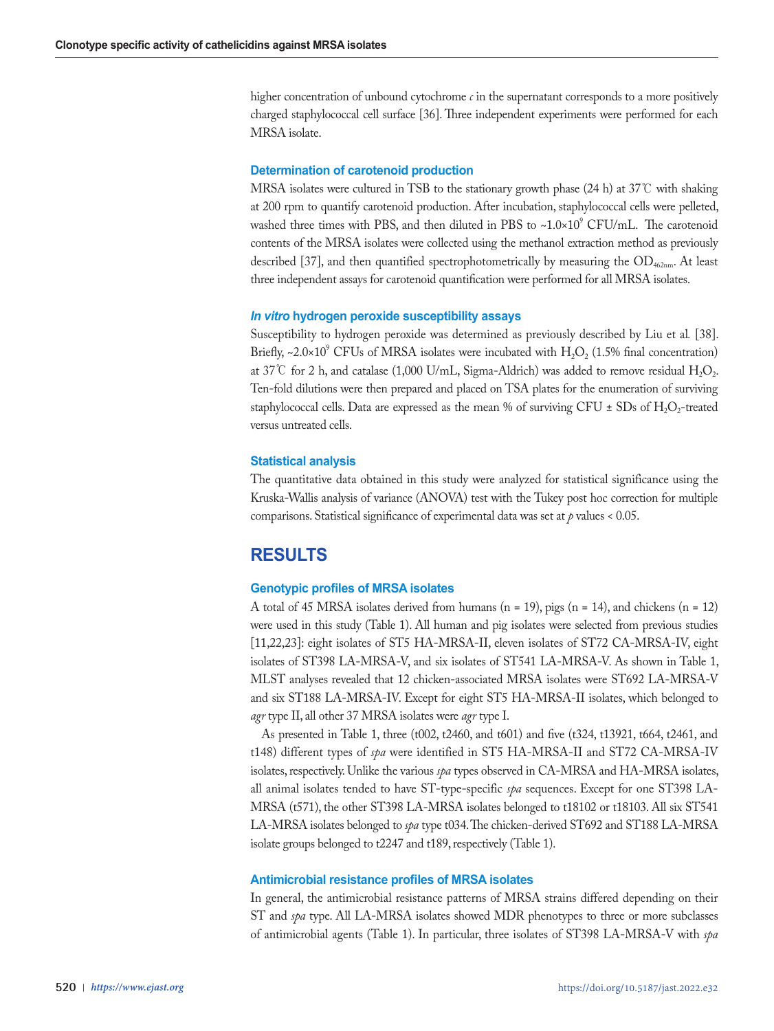higher concentration of unbound cytochrome *c* in the supernatant corresponds to a more positively charged staphylococcal cell surface [36]. Three independent experiments were performed for each MRSA isolate.

#### **Determination of carotenoid production**

MRSA isolates were cultured in TSB to the stationary growth phase (24 h) at 37℃ with shaking at 200 rpm to quantify carotenoid production. After incubation, staphylococcal cells were pelleted, washed three times with PBS, and then diluted in PBS to  $\sim 1.0 \times 10^9$  CFU/mL. The carotenoid contents of the MRSA isolates were collected using the methanol extraction method as previously described [37], and then quantified spectrophotometrically by measuring the  $OD_{462nm}$ . At least three independent assays for carotenoid quantification were performed for all MRSA isolates.

#### *In vitro* **hydrogen peroxide susceptibility assays**

Susceptibility to hydrogen peroxide was determined as previously described by Liu et al*.* [38]. Briefly, ~2.0×10<sup>9</sup> CFUs of MRSA isolates were incubated with  $H_2O_2$  (1.5% final concentration) at 37°C for 2 h, and catalase (1,000 U/mL, Sigma-Aldrich) was added to remove residual  $H_2O_2$ . Ten-fold dilutions were then prepared and placed on TSA plates for the enumeration of surviving staphylococcal cells. Data are expressed as the mean % of surviving CFU  $\pm$  SDs of H<sub>2</sub>O<sub>2</sub>-treated versus untreated cells.

#### **Statistical analysis**

The quantitative data obtained in this study were analyzed for statistical significance using the Kruska-Wallis analysis of variance (ANOVA) test with the Tukey post hoc correction for multiple comparisons. Statistical significance of experimental data was set at  $p$  values < 0.05.

# **RESULTS**

#### **Genotypic profiles of MRSA isolates**

A total of 45 MRSA isolates derived from humans  $(n = 19)$ , pigs  $(n = 14)$ , and chickens  $(n = 12)$ were used in this study (Table 1). All human and pig isolates were selected from previous studies [11,22,23]: eight isolates of ST5 HA-MRSA-II, eleven isolates of ST72 CA-MRSA-IV, eight isolates of ST398 LA-MRSA-V, and six isolates of ST541 LA-MRSA-V. As shown in Table 1, MLST analyses revealed that 12 chicken-associated MRSA isolates were ST692 LA-MRSA-V and six ST188 LA-MRSA-IV. Except for eight ST5 HA-MRSA-II isolates, which belonged to *agr* type II, all other 37 MRSA isolates were *agr* type I.

As presented in Table 1, three (t002, t2460, and t601) and five (t324, t13921, t664, t2461, and t148) different types of *spa* were identified in ST5 HA-MRSA-II and ST72 CA-MRSA-IV isolates, respectively. Unlike the various *spa* types observed in CA-MRSA and HA-MRSA isolates, all animal isolates tended to have ST-type-specific *spa* sequences. Except for one ST398 LA-MRSA (t571), the other ST398 LA-MRSA isolates belonged to t18102 or t18103. All six ST541 LA-MRSA isolates belonged to *spa* type t034. The chicken-derived ST692 and ST188 LA-MRSA isolate groups belonged to t2247 and t189, respectively (Table 1).

#### **Antimicrobial resistance profiles of MRSA isolates**

In general, the antimicrobial resistance patterns of MRSA strains differed depending on their ST and *spa* type. All LA-MRSA isolates showed MDR phenotypes to three or more subclasses of antimicrobial agents (Table 1). In particular, three isolates of ST398 LA-MRSA-V with *spa*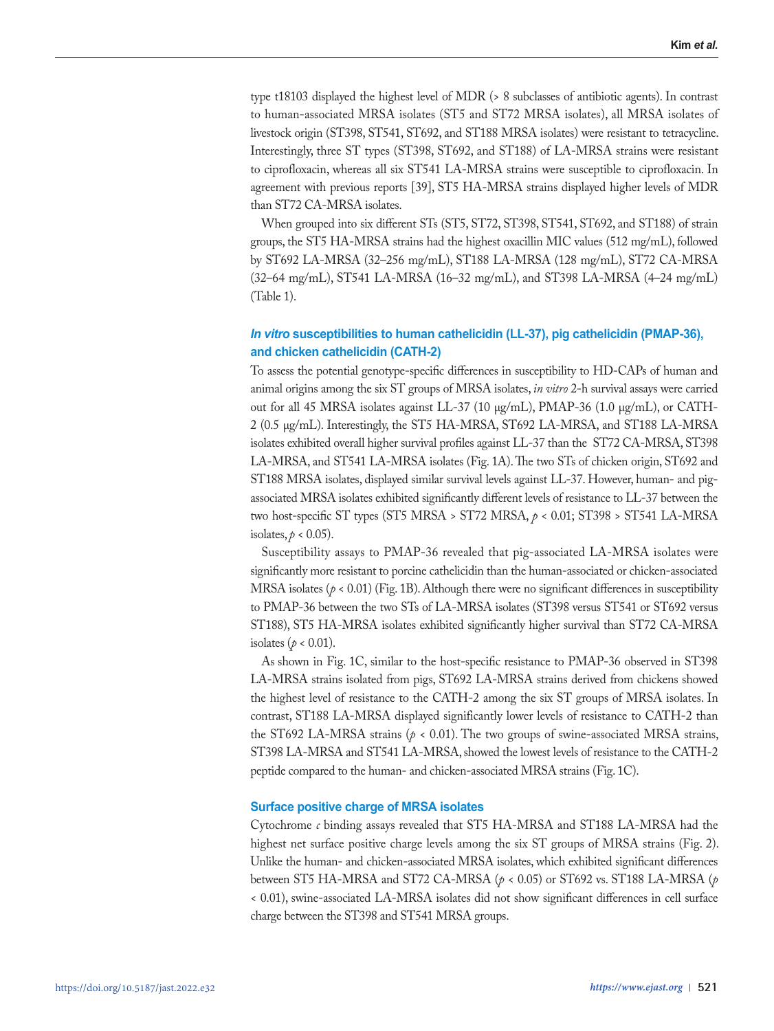type t18103 displayed the highest level of MDR (> 8 subclasses of antibiotic agents). In contrast to human-associated MRSA isolates (ST5 and ST72 MRSA isolates), all MRSA isolates of livestock origin (ST398, ST541, ST692, and ST188 MRSA isolates) were resistant to tetracycline. Interestingly, three ST types (ST398, ST692, and ST188) of LA-MRSA strains were resistant to ciprofloxacin, whereas all six ST541 LA-MRSA strains were susceptible to ciprofloxacin. In agreement with previous reports [39], ST5 HA-MRSA strains displayed higher levels of MDR than ST72 CA-MRSA isolates.

When grouped into six different STs (ST5, ST72, ST398, ST541, ST692, and ST188) of strain groups, the ST5 HA-MRSA strains had the highest oxacillin MIC values (512 mg/mL), followed by ST692 LA-MRSA (32–256 mg/mL), ST188 LA-MRSA (128 mg/mL), ST72 CA-MRSA (32–64 mg/mL), ST541 LA-MRSA (16–32 mg/mL), and ST398 LA-MRSA (4–24 mg/mL) (Table 1).

## *In vitro* **susceptibilities to human cathelicidin (LL-37), pig cathelicidin (PMAP-36), and chicken cathelicidin (CATH-2)**

To assess the potential genotype-specific differences in susceptibility to HD-CAPs of human and animal origins among the six ST groups of MRSA isolates, *in vitro* 2-h survival assays were carried out for all 45 MRSA isolates against LL-37 (10 μg/mL), PMAP-36 (1.0 μg/mL), or CATH-2 (0.5 μg/mL). Interestingly, the ST5 HA-MRSA, ST692 LA-MRSA, and ST188 LA-MRSA isolates exhibited overall higher survival profiles against LL-37 than the ST72 CA-MRSA, ST398 LA-MRSA, and ST541 LA-MRSA isolates (Fig. 1A). The two STs of chicken origin, ST692 and ST188 MRSA isolates, displayed similar survival levels against LL-37. However, human- and pigassociated MRSA isolates exhibited significantly different levels of resistance to LL-37 between the two host-specific ST types (ST5 MRSA > ST72 MRSA, *p* < 0.01; ST398 > ST541 LA-MRSA isolates,  $p < 0.05$ ).

Susceptibility assays to PMAP-36 revealed that pig-associated LA-MRSA isolates were significantly more resistant to porcine cathelicidin than the human-associated or chicken-associated MRSA isolates (*p* < 0.01) (Fig. 1B). Although there were no significant differences in susceptibility to PMAP-36 between the two STs of LA-MRSA isolates (ST398 versus ST541 or ST692 versus ST188), ST5 HA-MRSA isolates exhibited significantly higher survival than ST72 CA-MRSA isolates ( $p < 0.01$ ).

As shown in Fig. 1C, similar to the host-specific resistance to PMAP-36 observed in ST398 LA-MRSA strains isolated from pigs, ST692 LA-MRSA strains derived from chickens showed the highest level of resistance to the CATH-2 among the six ST groups of MRSA isolates. In contrast, ST188 LA-MRSA displayed significantly lower levels of resistance to CATH-2 than the ST692 LA-MRSA strains ( $p < 0.01$ ). The two groups of swine-associated MRSA strains, ST398 LA-MRSA and ST541 LA-MRSA, showed the lowest levels of resistance to the CATH-2 peptide compared to the human- and chicken-associated MRSA strains (Fig. 1C).

#### **Surface positive charge of MRSA isolates**

Cytochrome *c* binding assays revealed that ST5 HA-MRSA and ST188 LA-MRSA had the highest net surface positive charge levels among the six ST groups of MRSA strains (Fig. 2). Unlike the human- and chicken-associated MRSA isolates, which exhibited significant differences between ST5 HA-MRSA and ST72 CA-MRSA (*p* < 0.05) or ST692 vs. ST188 LA-MRSA (*p* < 0.01), swine-associated LA-MRSA isolates did not show significant differences in cell surface charge between the ST398 and ST541 MRSA groups.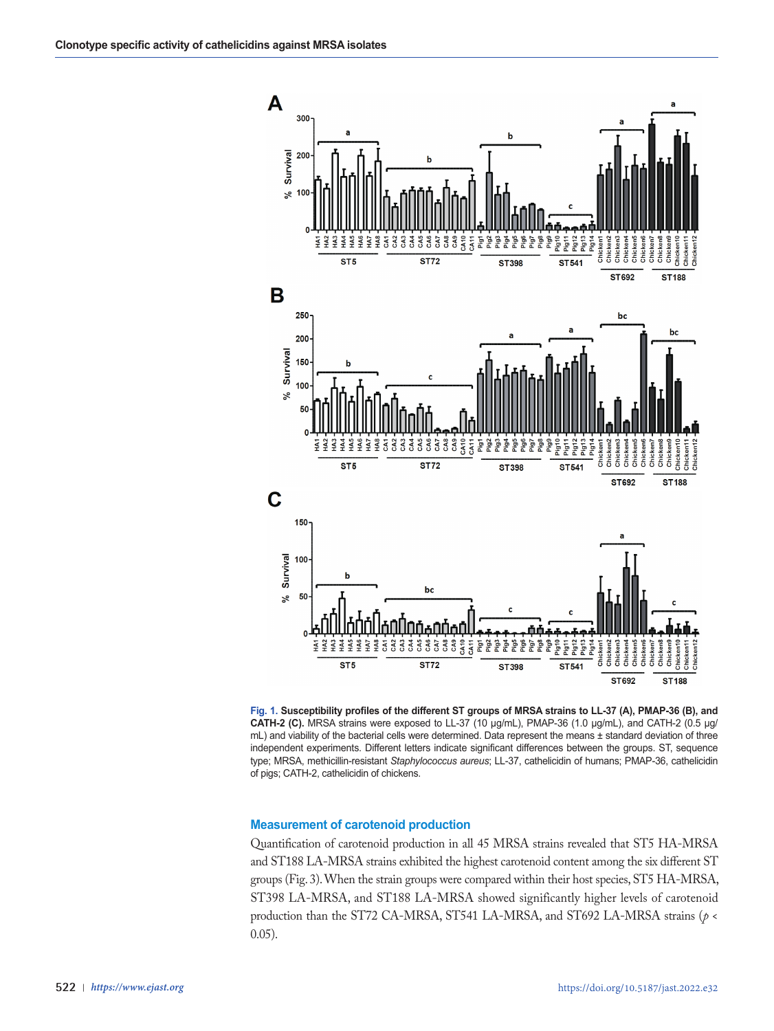

**Fig. 1. Susceptibility profiles of the different ST groups of MRSA strains to LL-37 (A), PMAP-36 (B), and CATH-2 (C).** MRSA strains were exposed to LL-37 (10 μg/mL), PMAP-36 (1.0 μg/mL), and CATH-2 (0.5 μg/ mL) and viability of the bacterial cells were determined. Data represent the means ± standard deviation of three independent experiments. Different letters indicate significant differences between the groups. ST, sequence type; MRSA, methicillin-resistant *Staphylococcus aureus*; LL-37, cathelicidin of humans; PMAP-36, cathelicidin of pigs; CATH-2, cathelicidin of chickens.

#### **Measurement of carotenoid production**

Quantification of carotenoid production in all 45 MRSA strains revealed that ST5 HA-MRSA and ST188 LA-MRSA strains exhibited the highest carotenoid content among the six different ST groups (Fig. 3). When the strain groups were compared within their host species, ST5 HA-MRSA, ST398 LA-MRSA, and ST188 LA-MRSA showed significantly higher levels of carotenoid production than the ST72 CA-MRSA, ST541 LA-MRSA, and ST692 LA-MRSA strains (*p* < 0.05).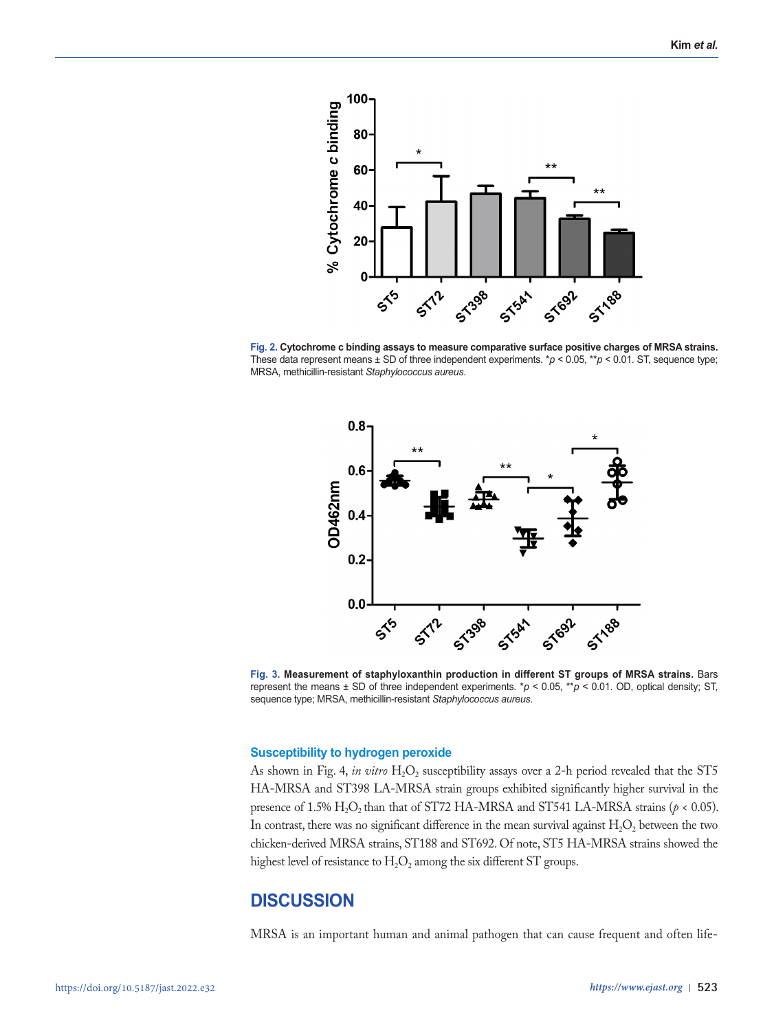

**Fig. 2. Cytochrome c binding assays to measure comparative surface positive charges of MRSA strains.**  These data represent means  $\pm$  SD of three independent experiments.  $\ast p$  < 0.05,  $\ast\ast p$  < 0.01. ST, sequence type; MRSA, methicillin-resistant *Staphylococcus aureus*.



**Fig. 3. Measurement of staphyloxanthin production in different ST groups of MRSA strains.** Bars represent the means ± SD of three independent experiments. \**p* < 0.05, \*\**p* < 0.01. OD, optical density; ST, sequence type; MRSA, methicillin-resistant *Staphylococcus aureus*.

#### **Susceptibility to hydrogen peroxide**

As shown in Fig. 4, *in vitro*  $H_2O_2$  susceptibility assays over a 2-h period revealed that the ST5 HA-MRSA and ST398 LA-MRSA strain groups exhibited significantly higher survival in the presence of 1.5%  $H_2O_2$  than that of ST72 HA-MRSA and ST541 LA-MRSA strains ( $p < 0.05$ ). In contrast, there was no significant difference in the mean survival against  $H_2O_2$  between the two chicken-derived MRSA strains, ST188 and ST692. Of note, ST5 HA-MRSA strains showed the highest level of resistance to  $H_2O_2$  among the six different ST groups.

# **DISCUSSION**

MRSA is an important human and animal pathogen that can cause frequent and often life-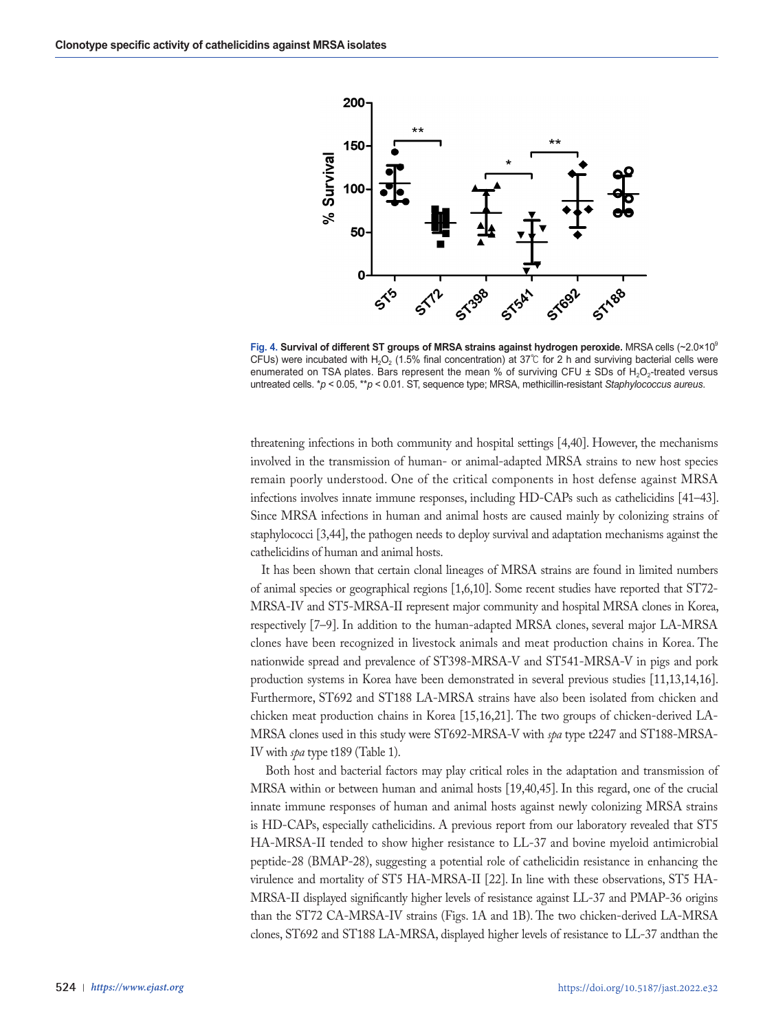

**Fig. 4. Survival of different ST groups of MRSA strains against hydrogen peroxide. MRSA cells (~2.0×10<sup>9</sup>)** CFUs) were incubated with H<sub>2</sub>O<sub>2</sub> (1.5% final concentration) at 37℃ for 2 h and surviving bacterial cells were enumerated on TSA plates. Bars represent the mean % of surviving CFU  $\pm$  SDs of H<sub>2</sub>O<sub>2</sub>-treated versus untreated cells. \**p* < 0.05, \*\**p* < 0.01. ST, sequence type; MRSA, methicillin-resistant *Staphylococcus aureus*.

threatening infections in both community and hospital settings [4,40]. However, the mechanisms involved in the transmission of human- or animal-adapted MRSA strains to new host species remain poorly understood. One of the critical components in host defense against MRSA infections involves innate immune responses, including HD-CAPs such as cathelicidins [41–43]. Since MRSA infections in human and animal hosts are caused mainly by colonizing strains of staphylococci [3,44], the pathogen needs to deploy survival and adaptation mechanisms against the cathelicidins of human and animal hosts.

It has been shown that certain clonal lineages of MRSA strains are found in limited numbers of animal species or geographical regions [1,6,10]. Some recent studies have reported that ST72- MRSA-IV and ST5-MRSA-II represent major community and hospital MRSA clones in Korea, respectively [7–9]. In addition to the human-adapted MRSA clones, several major LA-MRSA clones have been recognized in livestock animals and meat production chains in Korea. The nationwide spread and prevalence of ST398-MRSA-V and ST541-MRSA-V in pigs and pork production systems in Korea have been demonstrated in several previous studies [11,13,14,16]. Furthermore, ST692 and ST188 LA-MRSA strains have also been isolated from chicken and chicken meat production chains in Korea [15,16,21]. The two groups of chicken-derived LA-MRSA clones used in this study were ST692-MRSA-V with *spa* type t2247 and ST188-MRSA-IV with *spa* type t189 (Table 1).

 Both host and bacterial factors may play critical roles in the adaptation and transmission of MRSA within or between human and animal hosts [19,40,45]. In this regard, one of the crucial innate immune responses of human and animal hosts against newly colonizing MRSA strains is HD-CAPs, especially cathelicidins. A previous report from our laboratory revealed that ST5 HA-MRSA-II tended to show higher resistance to LL-37 and bovine myeloid antimicrobial peptide-28 (BMAP-28), suggesting a potential role of cathelicidin resistance in enhancing the virulence and mortality of ST5 HA-MRSA-II [22]. In line with these observations, ST5 HA-MRSA-II displayed significantly higher levels of resistance against LL-37 and PMAP-36 origins than the ST72 CA-MRSA-IV strains (Figs. 1A and 1B). The two chicken-derived LA-MRSA clones, ST692 and ST188 LA-MRSA, displayed higher levels of resistance to LL-37 andthan the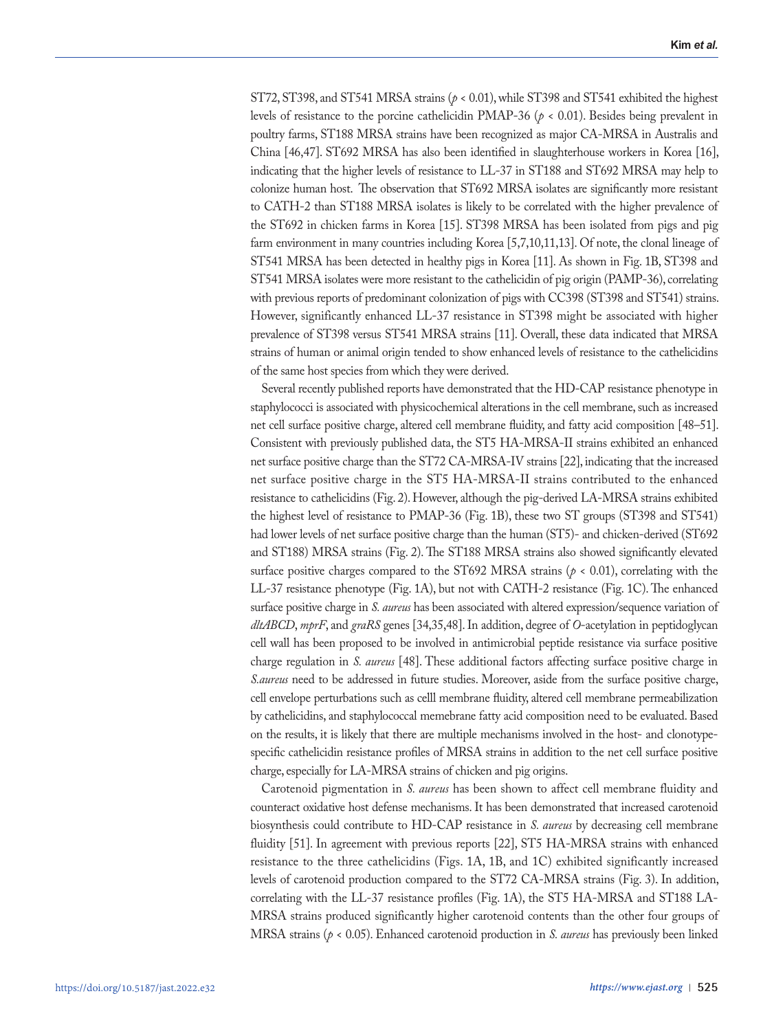ST72, ST398, and ST541 MRSA strains (*p* < 0.01), while ST398 and ST541 exhibited the highest levels of resistance to the porcine cathelicidin PMAP-36 (*p* < 0.01). Besides being prevalent in poultry farms, ST188 MRSA strains have been recognized as major CA-MRSA in Australis and China [46,47]. ST692 MRSA has also been identified in slaughterhouse workers in Korea [16], indicating that the higher levels of resistance to LL-37 in ST188 and ST692 MRSA may help to colonize human host. The observation that ST692 MRSA isolates are significantly more resistant to CATH-2 than ST188 MRSA isolates is likely to be correlated with the higher prevalence of the ST692 in chicken farms in Korea [15]. ST398 MRSA has been isolated from pigs and pig farm environment in many countries including Korea [5,7,10,11,13]. Of note, the clonal lineage of ST541 MRSA has been detected in healthy pigs in Korea [11]. As shown in Fig. 1B, ST398 and ST541 MRSA isolates were more resistant to the cathelicidin of pig origin (PAMP-36), correlating with previous reports of predominant colonization of pigs with CC398 (ST398 and ST541) strains. However, significantly enhanced LL-37 resistance in ST398 might be associated with higher prevalence of ST398 versus ST541 MRSA strains [11]. Overall, these data indicated that MRSA strains of human or animal origin tended to show enhanced levels of resistance to the cathelicidins of the same host species from which they were derived.

Several recently published reports have demonstrated that the HD-CAP resistance phenotype in staphylococci is associated with physicochemical alterations in the cell membrane, such as increased net cell surface positive charge, altered cell membrane fluidity, and fatty acid composition [48–51]. Consistent with previously published data, the ST5 HA-MRSA-II strains exhibited an enhanced net surface positive charge than the ST72 CA-MRSA-IV strains [22], indicating that the increased net surface positive charge in the ST5 HA-MRSA-II strains contributed to the enhanced resistance to cathelicidins (Fig. 2). However, although the pig-derived LA-MRSA strains exhibited the highest level of resistance to PMAP-36 (Fig. 1B), these two ST groups (ST398 and ST541) had lower levels of net surface positive charge than the human (ST5)- and chicken-derived (ST692 and ST188) MRSA strains (Fig. 2). The ST188 MRSA strains also showed significantly elevated surface positive charges compared to the ST692 MRSA strains ( $p < 0.01$ ), correlating with the LL-37 resistance phenotype (Fig. 1A), but not with CATH-2 resistance (Fig. 1C). The enhanced surface positive charge in *S. aureus* has been associated with altered expression/sequence variation of *dltABCD*, *mprF*, and *graRS* genes [34,35,48]. In addition, degree of *O*-acetylation in peptidoglycan cell wall has been proposed to be involved in antimicrobial peptide resistance via surface positive charge regulation in *S. aureus* [48]. These additional factors affecting surface positive charge in *S.aureus* need to be addressed in future studies. Moreover, aside from the surface positive charge, cell envelope perturbations such as celll membrane fluidity, altered cell membrane permeabilization by cathelicidins, and staphylococcal memebrane fatty acid composition need to be evaluated. Based on the results, it is likely that there are multiple mechanisms involved in the host- and clonotypespecific cathelicidin resistance profiles of MRSA strains in addition to the net cell surface positive charge, especially for LA-MRSA strains of chicken and pig origins.

Carotenoid pigmentation in *S. aureus* has been shown to affect cell membrane fluidity and counteract oxidative host defense mechanisms. It has been demonstrated that increased carotenoid biosynthesis could contribute to HD-CAP resistance in *S. aureus* by decreasing cell membrane fluidity [51]. In agreement with previous reports [22], ST5 HA-MRSA strains with enhanced resistance to the three cathelicidins (Figs. 1A, 1B, and 1C) exhibited significantly increased levels of carotenoid production compared to the ST72 CA-MRSA strains (Fig. 3). In addition, correlating with the LL-37 resistance profiles (Fig. 1A), the ST5 HA-MRSA and ST188 LA-MRSA strains produced significantly higher carotenoid contents than the other four groups of MRSA strains (*p* < 0.05). Enhanced carotenoid production in *S. aureus* has previously been linked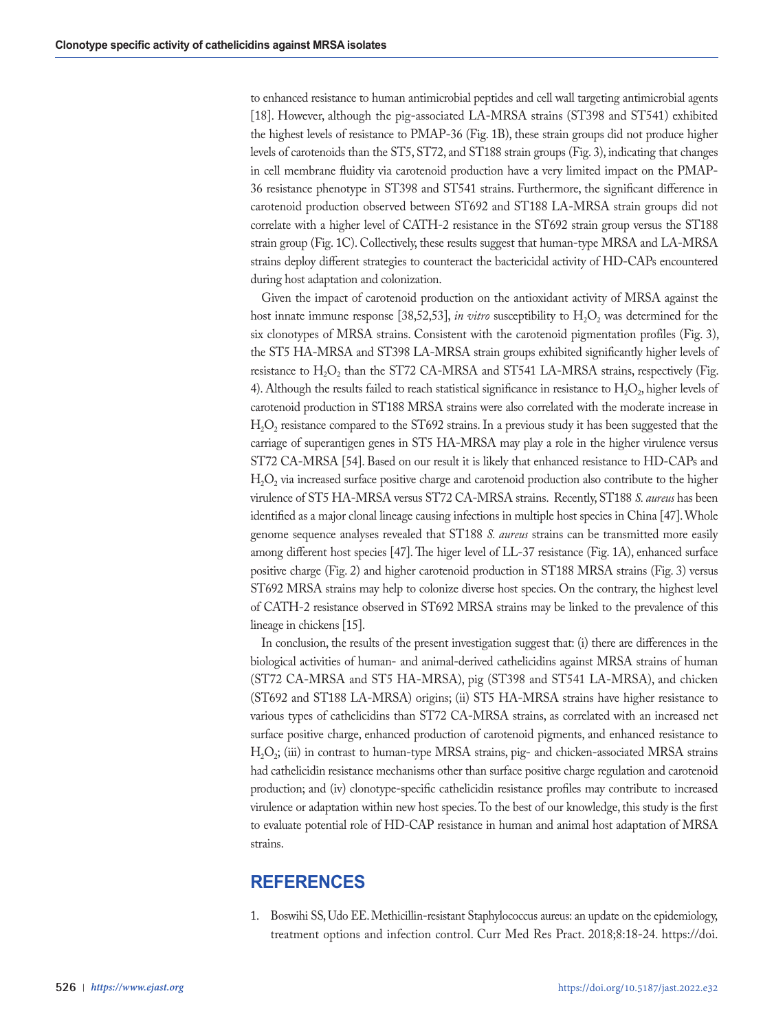to enhanced resistance to human antimicrobial peptides and cell wall targeting antimicrobial agents [18]. However, although the pig-associated LA-MRSA strains (ST398 and ST541) exhibited the highest levels of resistance to PMAP-36 (Fig. 1B), these strain groups did not produce higher levels of carotenoids than the ST5, ST72, and ST188 strain groups (Fig. 3), indicating that changes in cell membrane fluidity via carotenoid production have a very limited impact on the PMAP-36 resistance phenotype in ST398 and ST541 strains. Furthermore, the significant difference in carotenoid production observed between ST692 and ST188 LA-MRSA strain groups did not correlate with a higher level of CATH-2 resistance in the ST692 strain group versus the ST188 strain group (Fig. 1C). Collectively, these results suggest that human-type MRSA and LA-MRSA strains deploy different strategies to counteract the bactericidal activity of HD-CAPs encountered during host adaptation and colonization.

Given the impact of carotenoid production on the antioxidant activity of MRSA against the host innate immune response [38,52,53], *in vitro* susceptibility to  $H_2O_2$  was determined for the six clonotypes of MRSA strains. Consistent with the carotenoid pigmentation profiles (Fig. 3), the ST5 HA-MRSA and ST398 LA-MRSA strain groups exhibited significantly higher levels of resistance to  $H_2O_2$  than the ST72 CA-MRSA and ST541 LA-MRSA strains, respectively (Fig. 4). Although the results failed to reach statistical significance in resistance to  $H_2O_2$ , higher levels of carotenoid production in ST188 MRSA strains were also correlated with the moderate increase in  $H_2O_2$  resistance compared to the ST692 strains. In a previous study it has been suggested that the carriage of superantigen genes in ST5 HA-MRSA may play a role in the higher virulence versus ST72 CA-MRSA [54]. Based on our result it is likely that enhanced resistance to HD-CAPs and  $H_2O_2$  via increased surface positive charge and carotenoid production also contribute to the higher virulence of ST5 HA-MRSA versus ST72 CA-MRSA strains. Recently, ST188 *S. aureus* has been identified as a major clonal lineage causing infections in multiple host species in China [47]. Whole genome sequence analyses revealed that ST188 *S. aureus* strains can be transmitted more easily among different host species [47]. The higer level of LL-37 resistance (Fig. 1A), enhanced surface positive charge (Fig. 2) and higher carotenoid production in ST188 MRSA strains (Fig. 3) versus ST692 MRSA strains may help to colonize diverse host species. On the contrary, the highest level of CATH-2 resistance observed in ST692 MRSA strains may be linked to the prevalence of this lineage in chickens [15].

In conclusion, the results of the present investigation suggest that: (i) there are differences in the biological activities of human- and animal-derived cathelicidins against MRSA strains of human (ST72 CA-MRSA and ST5 HA-MRSA), pig (ST398 and ST541 LA-MRSA), and chicken (ST692 and ST188 LA-MRSA) origins; (ii) ST5 HA-MRSA strains have higher resistance to various types of cathelicidins than ST72 CA-MRSA strains, as correlated with an increased net surface positive charge, enhanced production of carotenoid pigments, and enhanced resistance to  $H<sub>2</sub>O<sub>2</sub>$ ; (iii) in contrast to human-type MRSA strains, pig- and chicken-associated MRSA strains had cathelicidin resistance mechanisms other than surface positive charge regulation and carotenoid production; and (iv) clonotype-specific cathelicidin resistance profiles may contribute to increased virulence or adaptation within new host species. To the best of our knowledge, this study is the first to evaluate potential role of HD-CAP resistance in human and animal host adaptation of MRSA strains.

# **REFERENCES**

1. Boswihi SS, Udo EE. Methicillin-resistant Staphylococcus aureus: an update on the epidemiology, treatment options and infection control. Curr Med Res Pract. 2018;8:18-24. https://doi.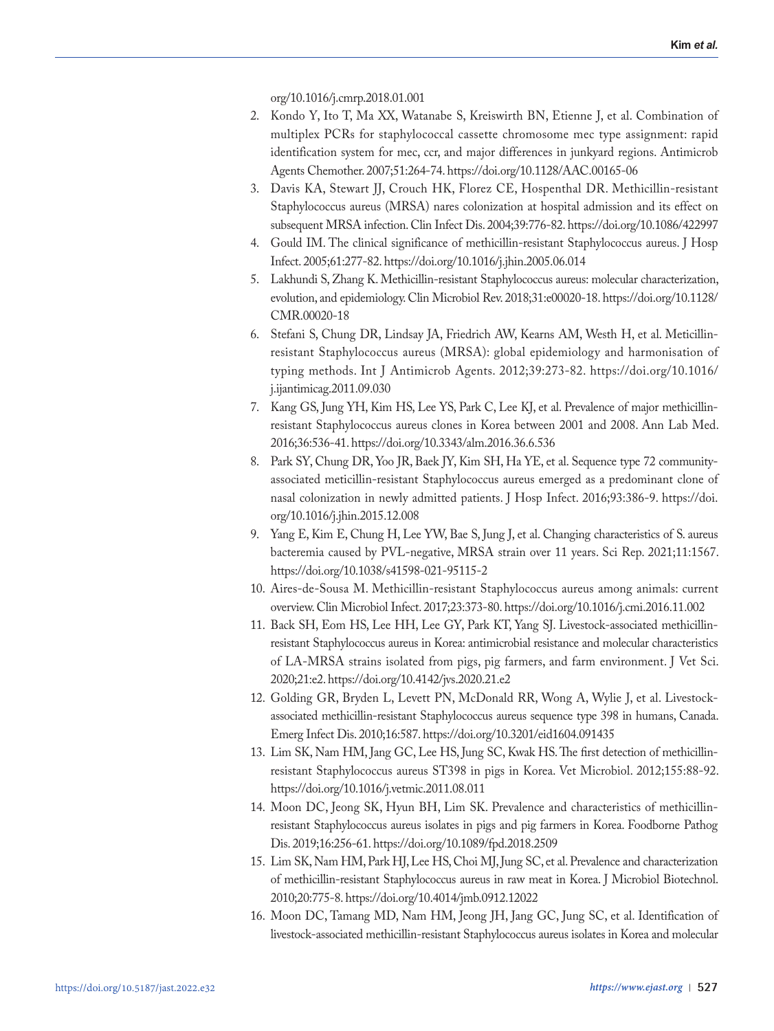org/10.1016/j.cmrp.2018.01.001

- 2. Kondo Y, Ito T, Ma XX, Watanabe S, Kreiswirth BN, Etienne J, et al. Combination of multiplex PCRs for staphylococcal cassette chromosome mec type assignment: rapid identification system for mec, ccr, and major differences in junkyard regions. Antimicrob Agents Chemother. 2007;51:264-74. https://doi.org/10.1128/AAC.00165-06
- 3. Davis KA, Stewart JJ, Crouch HK, Florez CE, Hospenthal DR. Methicillin-resistant Staphylococcus aureus (MRSA) nares colonization at hospital admission and its effect on subsequent MRSA infection. Clin Infect Dis. 2004;39:776-82. https://doi.org/10.1086/422997
- 4. Gould IM. The clinical significance of methicillin-resistant Staphylococcus aureus. J Hosp Infect. 2005;61:277-82. https://doi.org/10.1016/j.jhin.2005.06.014
- 5. Lakhundi S, Zhang K. Methicillin-resistant Staphylococcus aureus: molecular characterization, evolution, and epidemiology. Clin Microbiol Rev. 2018;31:e00020-18. https://doi.org/10.1128/ CMR.00020-18
- 6. Stefani S, Chung DR, Lindsay JA, Friedrich AW, Kearns AM, Westh H, et al. Meticillinresistant Staphylococcus aureus (MRSA): global epidemiology and harmonisation of typing methods. Int J Antimicrob Agents. 2012;39:273-82. https://doi.org/10.1016/ j.ijantimicag.2011.09.030
- 7. Kang GS, Jung YH, Kim HS, Lee YS, Park C, Lee KJ, et al. Prevalence of major methicillinresistant Staphylococcus aureus clones in Korea between 2001 and 2008. Ann Lab Med. 2016;36:536-41. https://doi.org/10.3343/alm.2016.36.6.536
- 8. Park SY, Chung DR, Yoo JR, Baek JY, Kim SH, Ha YE, et al. Sequence type 72 communityassociated meticillin-resistant Staphylococcus aureus emerged as a predominant clone of nasal colonization in newly admitted patients. J Hosp Infect. 2016;93:386-9. https://doi. org/10.1016/j.jhin.2015.12.008
- 9. Yang E, Kim E, Chung H, Lee YW, Bae S, Jung J, et al. Changing characteristics of S. aureus bacteremia caused by PVL-negative, MRSA strain over 11 years. Sci Rep. 2021;11:1567. https://doi.org/10.1038/s41598-021-95115-2
- 10. Aires-de-Sousa M. Methicillin-resistant Staphylococcus aureus among animals: current overview. Clin Microbiol Infect. 2017;23:373-80. https://doi.org/10.1016/j.cmi.2016.11.002
- 11. Back SH, Eom HS, Lee HH, Lee GY, Park KT, Yang SJ. Livestock-associated methicillinresistant Staphylococcus aureus in Korea: antimicrobial resistance and molecular characteristics of LA-MRSA strains isolated from pigs, pig farmers, and farm environment. J Vet Sci. 2020;21:e2. https://doi.org/10.4142/jvs.2020.21.e2
- 12. Golding GR, Bryden L, Levett PN, McDonald RR, Wong A, Wylie J, et al. Livestockassociated methicillin-resistant Staphylococcus aureus sequence type 398 in humans, Canada. Emerg Infect Dis. 2010;16:587. https://doi.org/10.3201/eid1604.091435
- 13. Lim SK, Nam HM, Jang GC, Lee HS, Jung SC, Kwak HS. The first detection of methicillinresistant Staphylococcus aureus ST398 in pigs in Korea. Vet Microbiol. 2012;155:88-92. https://doi.org/10.1016/j.vetmic.2011.08.011
- 14. Moon DC, Jeong SK, Hyun BH, Lim SK. Prevalence and characteristics of methicillinresistant Staphylococcus aureus isolates in pigs and pig farmers in Korea. Foodborne Pathog Dis. 2019;16:256-61. https://doi.org/10.1089/fpd.2018.2509
- 15. Lim SK, Nam HM, Park HJ, Lee HS, Choi MJ, Jung SC, et al. Prevalence and characterization of methicillin-resistant Staphylococcus aureus in raw meat in Korea. J Microbiol Biotechnol. 2010;20:775-8. https://doi.org/10.4014/jmb.0912.12022
- 16. Moon DC, Tamang MD, Nam HM, Jeong JH, Jang GC, Jung SC, et al. Identification of livestock-associated methicillin-resistant Staphylococcus aureus isolates in Korea and molecular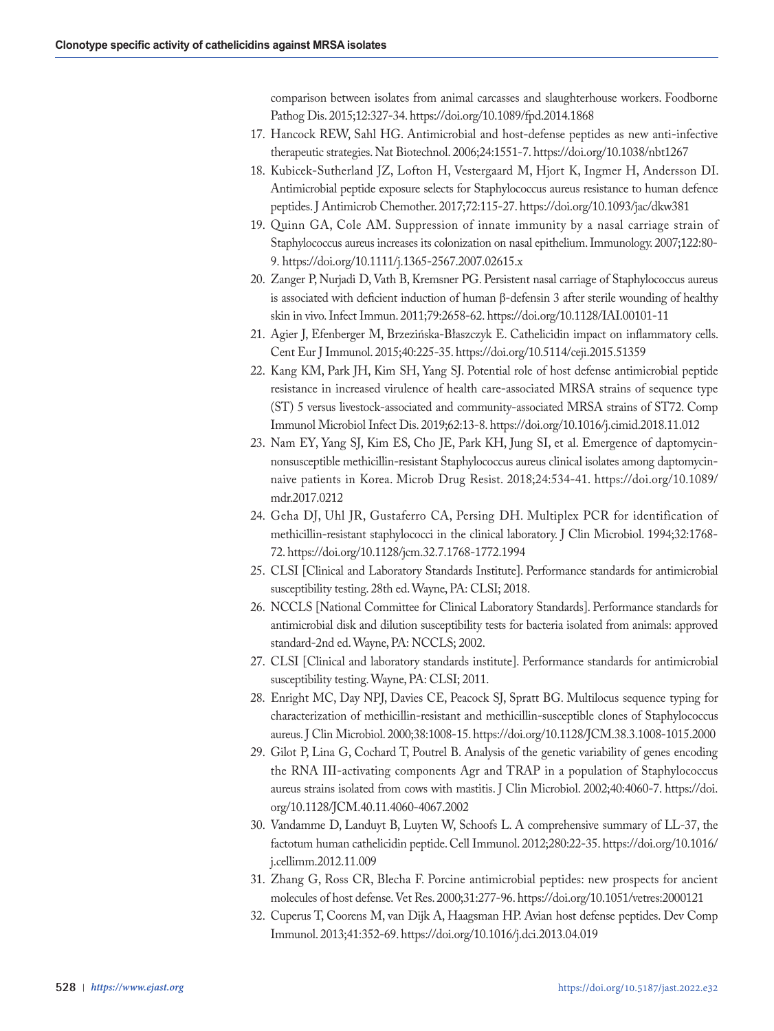comparison between isolates from animal carcasses and slaughterhouse workers. Foodborne Pathog Dis. 2015;12:327-34. https://doi.org/10.1089/fpd.2014.1868

- 17. Hancock REW, Sahl HG. Antimicrobial and host-defense peptides as new anti-infective therapeutic strategies. Nat Biotechnol. 2006;24:1551-7. https://doi.org/10.1038/nbt1267
- 18. Kubicek-Sutherland JZ, Lofton H, Vestergaard M, Hjort K, Ingmer H, Andersson DI. Antimicrobial peptide exposure selects for Staphylococcus aureus resistance to human defence peptides. J Antimicrob Chemother. 2017;72:115-27. https://doi.org/10.1093/jac/dkw381
- 19. Quinn GA, Cole AM. Suppression of innate immunity by a nasal carriage strain of Staphylococcus aureus increases its colonization on nasal epithelium. Immunology. 2007;122:80- 9. https://doi.org/10.1111/j.1365-2567.2007.02615.x
- 20. Zanger P, Nurjadi D, Vath B, Kremsner PG. Persistent nasal carriage of Staphylococcus aureus is associated with deficient induction of human β-defensin 3 after sterile wounding of healthy skin in vivo. Infect Immun. 2011;79:2658-62. https://doi.org/10.1128/IAI.00101-11
- 21. Agier J, Efenberger M, Brzezińska-Błaszczyk E. Cathelicidin impact on inflammatory cells. Cent Eur J Immunol. 2015;40:225-35. https://doi.org/10.5114/ceji.2015.51359
- 22. Kang KM, Park JH, Kim SH, Yang SJ. Potential role of host defense antimicrobial peptide resistance in increased virulence of health care-associated MRSA strains of sequence type (ST) 5 versus livestock-associated and community-associated MRSA strains of ST72. Comp Immunol Microbiol Infect Dis. 2019;62:13-8. https://doi.org/10.1016/j.cimid.2018.11.012
- 23. Nam EY, Yang SJ, Kim ES, Cho JE, Park KH, Jung SI, et al. Emergence of daptomycinnonsusceptible methicillin-resistant Staphylococcus aureus clinical isolates among daptomycinnaive patients in Korea. Microb Drug Resist. 2018;24:534-41. https://doi.org/10.1089/ mdr.2017.0212
- 24. Geha DJ, Uhl JR, Gustaferro CA, Persing DH. Multiplex PCR for identification of methicillin-resistant staphylococci in the clinical laboratory. J Clin Microbiol. 1994;32:1768- 72. https://doi.org/10.1128/jcm.32.7.1768-1772.1994
- 25. CLSI [Clinical and Laboratory Standards Institute]. Performance standards for antimicrobial susceptibility testing. 28th ed. Wayne, PA: CLSI; 2018.
- 26. NCCLS [National Committee for Clinical Laboratory Standards]. Performance standards for antimicrobial disk and dilution susceptibility tests for bacteria isolated from animals: approved standard-2nd ed. Wayne, PA: NCCLS; 2002.
- 27. CLSI [Clinical and laboratory standards institute]. Performance standards for antimicrobial susceptibility testing. Wayne, PA: CLSI; 2011.
- 28. Enright MC, Day NPJ, Davies CE, Peacock SJ, Spratt BG. Multilocus sequence typing for characterization of methicillin-resistant and methicillin-susceptible clones of Staphylococcus aureus. J Clin Microbiol. 2000;38:1008-15. https://doi.org/10.1128/JCM.38.3.1008-1015.2000
- 29. Gilot P, Lina G, Cochard T, Poutrel B. Analysis of the genetic variability of genes encoding the RNA III-activating components Agr and TRAP in a population of Staphylococcus aureus strains isolated from cows with mastitis. J Clin Microbiol. 2002;40:4060-7. https://doi. org/10.1128/JCM.40.11.4060-4067.2002
- 30. Vandamme D, Landuyt B, Luyten W, Schoofs L. A comprehensive summary of LL-37, the factotum human cathelicidin peptide. Cell Immunol. 2012;280:22-35. https://doi.org/10.1016/ j.cellimm.2012.11.009
- 31. Zhang G, Ross CR, Blecha F. Porcine antimicrobial peptides: new prospects for ancient molecules of host defense. Vet Res. 2000;31:277-96. https://doi.org/10.1051/vetres:2000121
- 32. Cuperus T, Coorens M, van Dijk A, Haagsman HP. Avian host defense peptides. Dev Comp Immunol. 2013;41:352-69. https://doi.org/10.1016/j.dci.2013.04.019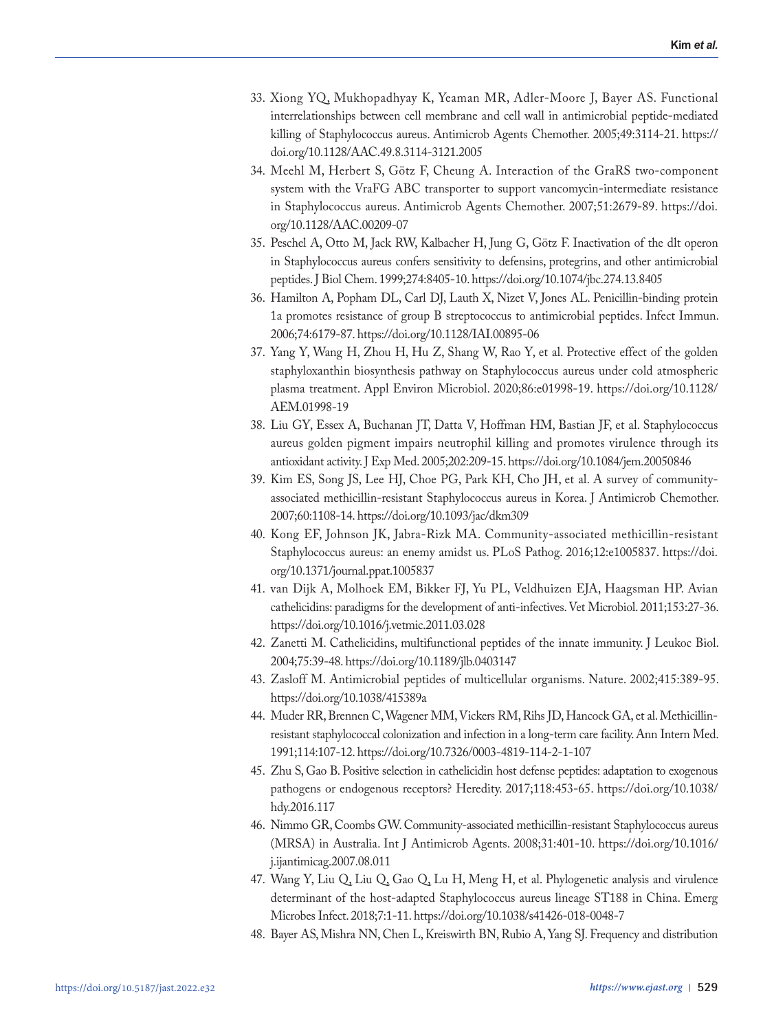- 33. Xiong YQ, Mukhopadhyay K, Yeaman MR, Adler-Moore J, Bayer AS. Functional interrelationships between cell membrane and cell wall in antimicrobial peptide-mediated killing of Staphylococcus aureus. Antimicrob Agents Chemother. 2005;49:3114-21. https:// doi.org/10.1128/AAC.49.8.3114-3121.2005
- 34. Meehl M, Herbert S, Götz F, Cheung A. Interaction of the GraRS two-component system with the VraFG ABC transporter to support vancomycin-intermediate resistance in Staphylococcus aureus. Antimicrob Agents Chemother. 2007;51:2679-89. https://doi. org/10.1128/AAC.00209-07
- 35. Peschel A, Otto M, Jack RW, Kalbacher H, Jung G, Götz F. Inactivation of the dlt operon in Staphylococcus aureus confers sensitivity to defensins, protegrins, and other antimicrobial peptides. J Biol Chem. 1999;274:8405-10. https://doi.org/10.1074/jbc.274.13.8405
- 36. Hamilton A, Popham DL, Carl DJ, Lauth X, Nizet V, Jones AL. Penicillin-binding protein 1a promotes resistance of group B streptococcus to antimicrobial peptides. Infect Immun. 2006;74:6179-87. https://doi.org/10.1128/IAI.00895-06
- 37. Yang Y, Wang H, Zhou H, Hu Z, Shang W, Rao Y, et al. Protective effect of the golden staphyloxanthin biosynthesis pathway on Staphylococcus aureus under cold atmospheric plasma treatment. Appl Environ Microbiol. 2020;86:e01998-19. https://doi.org/10.1128/ AEM.01998-19
- 38. Liu GY, Essex A, Buchanan JT, Datta V, Hoffman HM, Bastian JF, et al. Staphylococcus aureus golden pigment impairs neutrophil killing and promotes virulence through its antioxidant activity. J Exp Med. 2005;202:209-15. https://doi.org/10.1084/jem.20050846
- 39. Kim ES, Song JS, Lee HJ, Choe PG, Park KH, Cho JH, et al. A survey of communityassociated methicillin-resistant Staphylococcus aureus in Korea. J Antimicrob Chemother. 2007;60:1108-14. https://doi.org/10.1093/jac/dkm309
- 40. Kong EF, Johnson JK, Jabra-Rizk MA. Community-associated methicillin-resistant Staphylococcus aureus: an enemy amidst us. PLoS Pathog. 2016;12:e1005837. https://doi. org/10.1371/journal.ppat.1005837
- 41. van Dijk A, Molhoek EM, Bikker FJ, Yu PL, Veldhuizen EJA, Haagsman HP. Avian cathelicidins: paradigms for the development of anti-infectives. Vet Microbiol. 2011;153:27-36. https://doi.org/10.1016/j.vetmic.2011.03.028
- 42. Zanetti M. Cathelicidins, multifunctional peptides of the innate immunity. J Leukoc Biol. 2004;75:39-48. https://doi.org/10.1189/jlb.0403147
- 43. Zasloff M. Antimicrobial peptides of multicellular organisms. Nature. 2002;415:389-95. https://doi.org/10.1038/415389a
- 44. Muder RR, Brennen C, Wagener MM, Vickers RM, Rihs JD, Hancock GA, et al. Methicillinresistant staphylococcal colonization and infection in a long-term care facility. Ann Intern Med. 1991;114:107-12. https://doi.org/10.7326/0003-4819-114-2-1-107
- 45. Zhu S, Gao B. Positive selection in cathelicidin host defense peptides: adaptation to exogenous pathogens or endogenous receptors? Heredity. 2017;118:453-65. https://doi.org/10.1038/ hdy.2016.117
- 46. Nimmo GR, Coombs GW. Community-associated methicillin-resistant Staphylococcus aureus (MRSA) in Australia. Int J Antimicrob Agents. 2008;31:401-10. https://doi.org/10.1016/ j.ijantimicag.2007.08.011
- 47. Wang Y, Liu Q, Liu Q, Gao Q, Lu H, Meng H, et al. Phylogenetic analysis and virulence determinant of the host-adapted Staphylococcus aureus lineage ST188 in China. Emerg Microbes Infect. 2018;7:1-11. https://doi.org/10.1038/s41426-018-0048-7
- 48. Bayer AS, Mishra NN, Chen L, Kreiswirth BN, Rubio A, Yang SJ. Frequency and distribution